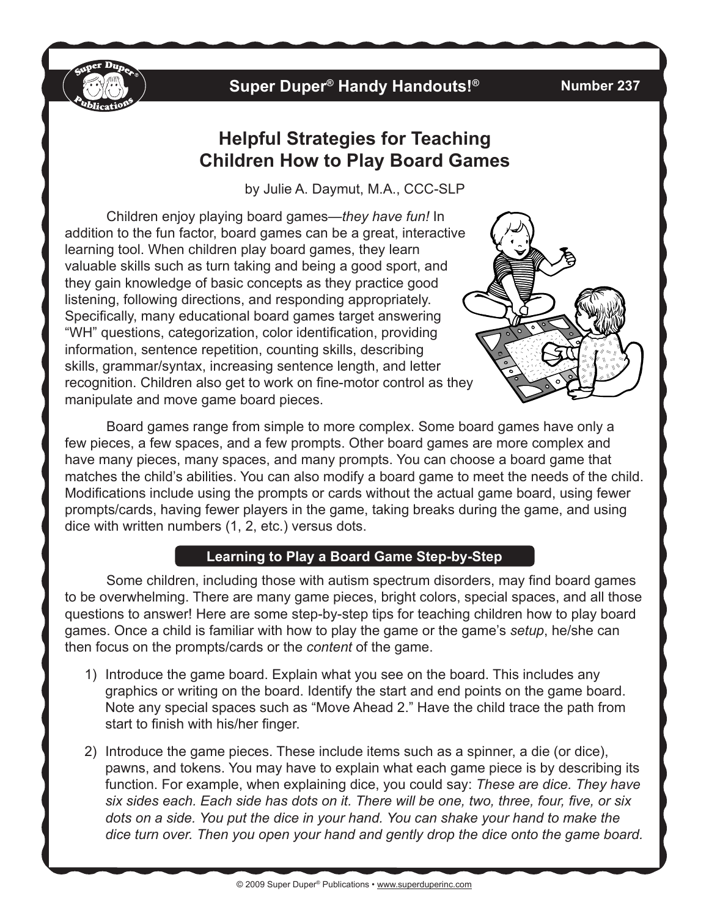

## **Super Duper® Handy Handouts!®**

#### **Number 237**

# **Helpful Strategies for Teaching Children How to Play Board Games**

by Julie A. Daymut, M.A., CCC-SLP

Children enjoy playing board games—*they have fun!* In addition to the fun factor, board games can be a great, interactive learning tool. When children play board games, they learn valuable skills such as turn taking and being a good sport, and they gain knowledge of basic concepts as they practice good listening, following directions, and responding appropriately. Specifically, many educational board games target answering "WH" questions, categorization, color identification, providing information, sentence repetition, counting skills, describing skills, grammar/syntax, increasing sentence length, and letter recognition. Children also get to work on fine-motor control as they manipulate and move game board pieces.



Board games range from simple to more complex. Some board games have only a few pieces, a few spaces, and a few prompts. Other board games are more complex and have many pieces, many spaces, and many prompts. You can choose a board game that matches the child's abilities. You can also modify a board game to meet the needs of the child. Modifications include using the prompts or cards without the actual game board, using fewer prompts/cards, having fewer players in the game, taking breaks during the game, and using dice with written numbers (1, 2, etc.) versus dots.

### **Learning to Play a Board Game Step-by-Step**

Some children, including those with autism spectrum disorders, may find board games to be overwhelming. There are many game pieces, bright colors, special spaces, and all those questions to answer! Here are some step-by-step tips for teaching children how to play board games. Once a child is familiar with how to play the game or the game's *setup*, he/she can then focus on the prompts/cards or the *content* of the game.

- 1) Introduce the game board. Explain what you see on the board. This includes any graphics or writing on the board. Identify the start and end points on the game board. Note any special spaces such as "Move Ahead 2." Have the child trace the path from start to finish with his/her finger.
- 2) Introduce the game pieces. These include items such as a spinner, a die (or dice), pawns, and tokens. You may have to explain what each game piece is by describing its function. For example, when explaining dice, you could say: *These are dice. They have six sides each. Each side has dots on it. There will be one, two, three, four, five, or six dots on a side. You put the dice in your hand. You can shake your hand to make the dice turn over. Then you open your hand and gently drop the dice onto the game board.*